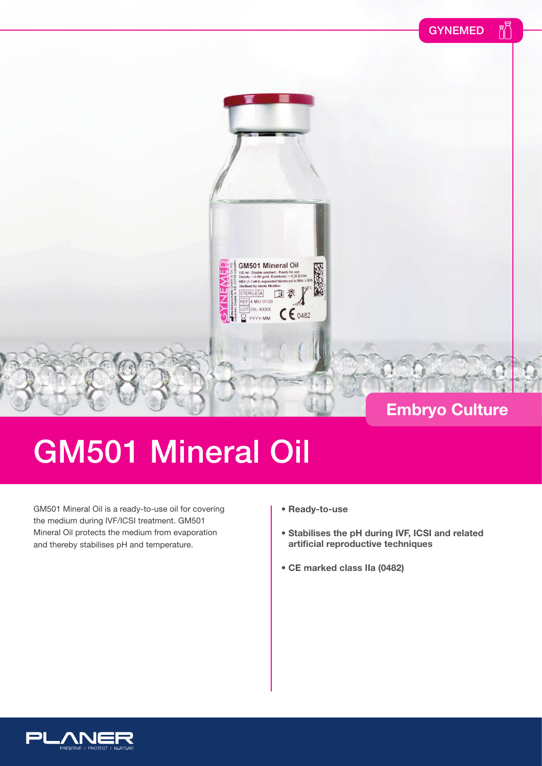



## GM501 Mineral Oil

GM501 Mineral Oil is a ready-to-use oil for covering the medium during IVF/ICSI treatment. GM501 Mineral Oil protects the medium from evaporation and thereby stabilises pH and temperature.

- **Ready-to-use**
- **Stabilises the pH during IVF, ICSI and related artificial reproductive techniques**
- **CE marked class IIa (0482)**